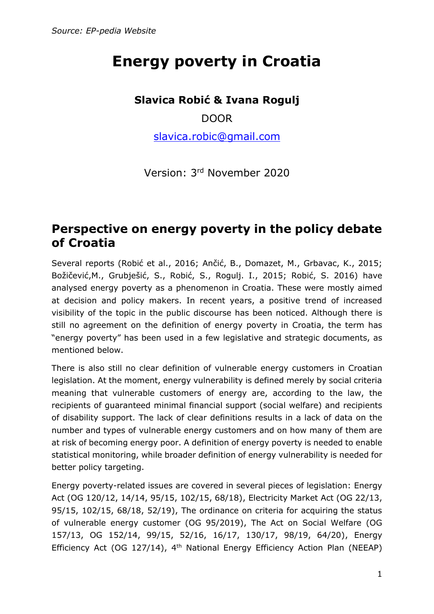# **Energy poverty in Croatia**

### **Slavica Robić & Ivana Rogulj**

DOOR

[slavica.robic@gmail.com](mailto:slavica.robic@gmail.com)

Version: 3rd November 2020

### **Perspective on energy poverty in the policy debate of Croatia**

Several reports (Robić et al., 2016; Ančić, B., Domazet, M., Grbavac, K., 2015; Božičević,M., Grubješić, S., Robić, S., Rogulj. I., 2015; Robić, S. 2016) have analysed energy poverty as a phenomenon in Croatia. These were mostly aimed at decision and policy makers. In recent years, a positive trend of increased visibility of the topic in the public discourse has been noticed. Although there is still no agreement on the definition of energy poverty in Croatia, the term has "energy poverty" has been used in a few legislative and strategic documents, as mentioned below.

There is also still no clear definition of vulnerable energy customers in Croatian legislation. At the moment, energy vulnerability is defined merely by social criteria meaning that vulnerable customers of energy are, according to the law, the recipients of guaranteed minimal financial support (social welfare) and recipients of disability support. The lack of clear definitions results in a lack of data on the number and types of vulnerable energy customers and on how many of them are at risk of becoming energy poor. A definition of energy poverty is needed to enable statistical monitoring, while broader definition of energy vulnerability is needed for better policy targeting.

Energy poverty-related issues are covered in several pieces of legislation: Energy Act (OG 120/12, 14/14, 95/15, 102/15, 68/18), Electricity Market Act (OG 22/13, 95/15, 102/15, 68/18, 52/19), The ordinance on criteria for acquiring the status of vulnerable energy customer (OG 95/2019), The Act on Social Welfare (OG 157/13, OG 152/14, 99/15, 52/16, 16/17, 130/17, 98/19, 64/20), Energy Efficiency Act (OG 127/14), 4<sup>th</sup> National Energy Efficiency Action Plan (NEEAP)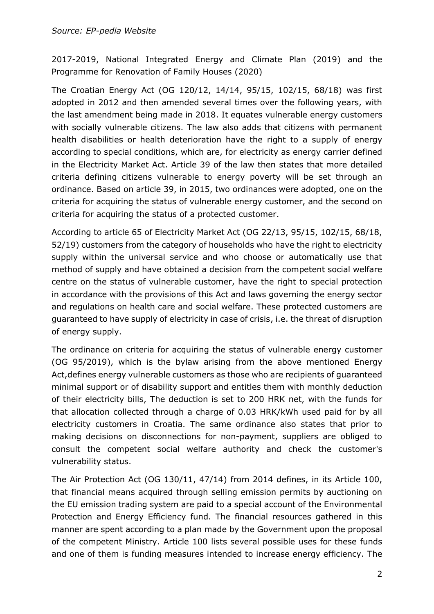2017-2019, National Integrated Energy and Climate Plan (2019) and the Programme for Renovation of Family Houses (2020)

The Croatian Energy Act (OG 120/12, 14/14, 95/15, 102/15, 68/18) was first adopted in 2012 and then amended several times over the following years, with the last amendment being made in 2018. It equates vulnerable energy customers with socially vulnerable citizens. The law also adds that citizens with permanent health disabilities or health deterioration have the right to a supply of energy according to special conditions, which are, for electricity as energy carrier defined in the Electricity Market Act. Article 39 of the law then states that more detailed criteria defining citizens vulnerable to energy poverty will be set through an ordinance. Based on article 39, in 2015, two ordinances were adopted, one on the criteria for acquiring the status of vulnerable energy customer, and the second on criteria for acquiring the status of a protected customer.

According to article 65 of Electricity Market Act (OG 22/13, 95/15, 102/15, 68/18, 52/19) customers from the category of households who have the right to electricity supply within the universal service and who choose or automatically use that method of supply and have obtained a decision from the competent social welfare centre on the status of vulnerable customer, have the right to special protection in accordance with the provisions of this Act and laws governing the energy sector and regulations on health care and social welfare. These protected customers are guaranteed to have supply of electricity in case of crisis, i.e. the threat of disruption of energy supply.

The ordinance on criteria for acquiring the status of vulnerable energy customer (OG 95/2019), which is the bylaw arising from the above mentioned Energy Act,defines energy vulnerable customers as those who are recipients of guaranteed minimal support or of disability support and entitles them with monthly deduction of their electricity bills, The deduction is set to 200 HRK net, with the funds for that allocation collected through a charge of 0.03 HRK/kWh used paid for by all electricity customers in Croatia. The same ordinance also states that prior to making decisions on disconnections for non-payment, suppliers are obliged to consult the competent social welfare authority and check the customer's vulnerability status.

The Air Protection Act (OG 130/11, 47/14) from 2014 defines, in its Article 100, that financial means acquired through selling emission permits by auctioning on the EU emission trading system are paid to a special account of the Environmental Protection and Energy Efficiency fund. The financial resources gathered in this manner are spent according to a plan made by the Government upon the proposal of the competent Ministry. Article 100 lists several possible uses for these funds and one of them is funding measures intended to increase energy efficiency. The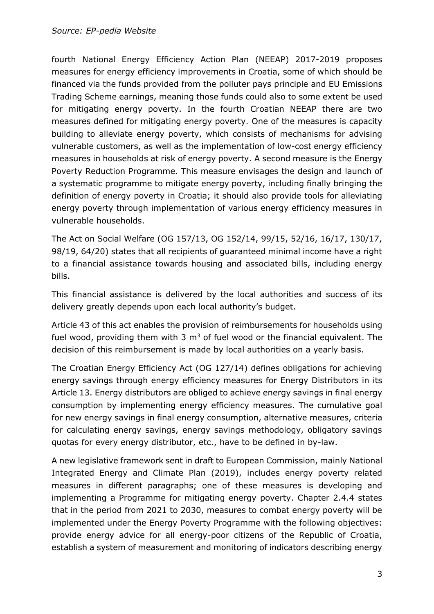#### *Source: EP-pedia Website*

fourth National Energy Efficiency Action Plan (NEEAP) 2017-2019 proposes measures for energy efficiency improvements in Croatia, some of which should be financed via the funds provided from the polluter pays principle and EU Emissions Trading Scheme earnings, meaning those funds could also to some extent be used for mitigating energy poverty. In the fourth Croatian NEEAP there are two measures defined for mitigating energy poverty. One of the measures is capacity building to alleviate energy poverty, which consists of mechanisms for advising vulnerable customers, as well as the implementation of low-cost energy efficiency measures in households at risk of energy poverty. A second measure is the Energy Poverty Reduction Programme. This measure envisages the design and launch of a systematic programme to mitigate energy poverty, including finally bringing the definition of energy poverty in Croatia; it should also provide tools for alleviating energy poverty through implementation of various energy efficiency measures in vulnerable households.

The Act on Social Welfare (OG 157/13, OG 152/14, 99/15, 52/16, 16/17, 130/17, 98/19, 64/20) states that all recipients of guaranteed minimal income have a right to a financial assistance towards housing and associated bills, including energy bills.

This financial assistance is delivered by the local authorities and success of its delivery greatly depends upon each local authority's budget.

Article 43 of this act enables the provision of reimbursements for households using fuel wood, providing them with 3  $m<sup>3</sup>$  of fuel wood or the financial equivalent. The decision of this reimbursement is made by local authorities on a yearly basis.

The Croatian Energy Efficiency Act (OG 127/14) defines obligations for achieving energy savings through energy efficiency measures for Energy Distributors in its Article 13. Energy distributors are obliged to achieve energy savings in final energy consumption by implementing energy efficiency measures. The cumulative goal for new energy savings in final energy consumption, alternative measures, criteria for calculating energy savings, energy savings methodology, obligatory savings quotas for every energy distributor, etc., have to be defined in by-law.

A new legislative framework sent in draft to European Commission, mainly National Integrated Energy and Climate Plan (2019), includes energy poverty related measures in different paragraphs; one of these measures is developing and implementing a Programme for mitigating energy poverty. Chapter 2.4.4 states that in the period from 2021 to 2030, measures to combat energy poverty will be implemented under the Energy Poverty Programme with the following objectives: provide energy advice for all energy-poor citizens of the Republic of Croatia, establish a system of measurement and monitoring of indicators describing energy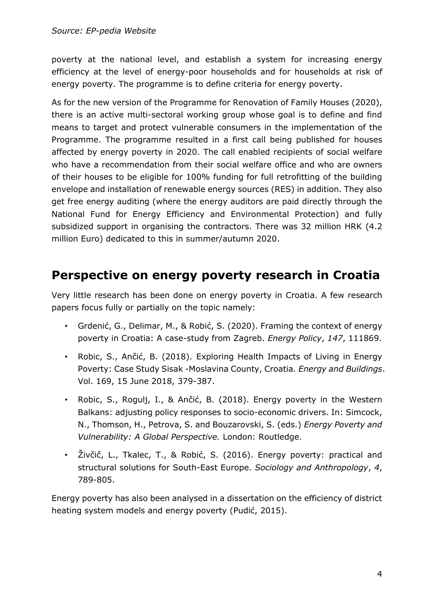poverty at the national level, and establish a system for increasing energy efficiency at the level of energy-poor households and for households at risk of energy poverty. The programme is to define criteria for energy poverty.

As for the new version of the Programme for Renovation of Family Houses (2020), there is an active multi-sectoral working group whose goal is to define and find means to target and protect vulnerable consumers in the implementation of the Programme. The programme resulted in a first call being published for houses affected by energy poverty in 2020. The call enabled recipients of social welfare who have a recommendation from their social welfare office and who are owners of their houses to be eligible for 100% funding for full retrofitting of the building envelope and installation of renewable energy sources (RES) in addition. They also get free energy auditing (where the energy auditors are paid directly through the National Fund for Energy Efficiency and Environmental Protection) and fully subsidized support in organising the contractors. There was 32 million HRK (4.2 million Euro) dedicated to this in summer/autumn 2020.

## **Perspective on energy poverty research in Croatia**

Very little research has been done on energy poverty in Croatia. A few research papers focus fully or partially on the topic namely:

- Grdenić, G., Delimar, M., & Robić, S. (2020). Framing the context of energy poverty in Croatia: A case-study from Zagreb. *Energy Policy*, *147*, 111869.
- Robic, S., Ančić, B. (2018). Exploring Health Impacts of Living in Energy Poverty: Case Study Sisak -Moslavina County, Croatia*. Energy and Buildings*. Vol. 169, 15 June 2018, 379-387.
- Robic, S., Rogulj, I., & Ančić, B. (2018). Energy poverty in the Western Balkans: adjusting policy responses to socio-economic drivers. In: Simcock, N., Thomson, H., Petrova, S. and Bouzarovski, S. (eds.) *Energy Poverty and Vulnerability: A Global Perspective.* London: Routledge.
- Živčič, L., Tkalec, T., & Robić, S. (2016). Energy poverty: practical and structural solutions for South-East Europe. *Sociology and Anthropology*, *4*, 789-805.

Energy poverty has also been analysed in a dissertation on the efficiency of district heating system models and energy poverty (Pudić, 2015).